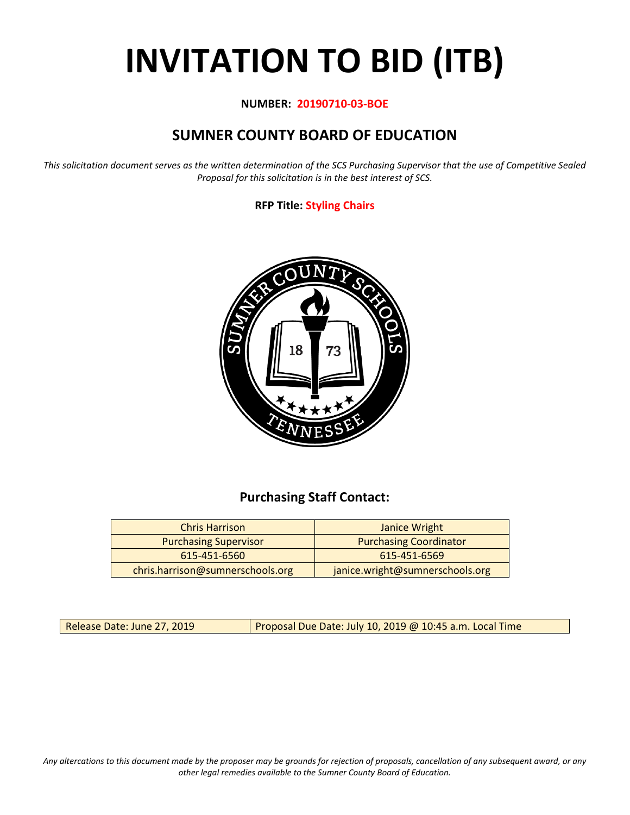# **INVITATION TO BID (ITB)**

#### **NUMBER: 20190710-03-BOE**

## **SUMNER COUNTY BOARD OF EDUCATION**

*This solicitation document serves as the written determination of the SCS Purchasing Supervisor that the use of Competitive Sealed Proposal for this solicitation is in the best interest of SCS.*

#### **RFP Title: Styling Chairs**



## **Purchasing Staff Contact:**

| <b>Chris Harrison</b>            | Janice Wright                   |
|----------------------------------|---------------------------------|
| <b>Purchasing Supervisor</b>     | <b>Purchasing Coordinator</b>   |
| 615-451-6560                     | 615-451-6569                    |
| chris.harrison@sumnerschools.org | janice.wright@sumnerschools.org |

Release Date: June 27, 2019 | Proposal Due Date: July 10, 2019 @ 10:45 a.m. Local Time

*Any altercations to this document made by the proposer may be grounds for rejection of proposals, cancellation of any subsequent award, or any other legal remedies available to the Sumner County Board of Education.*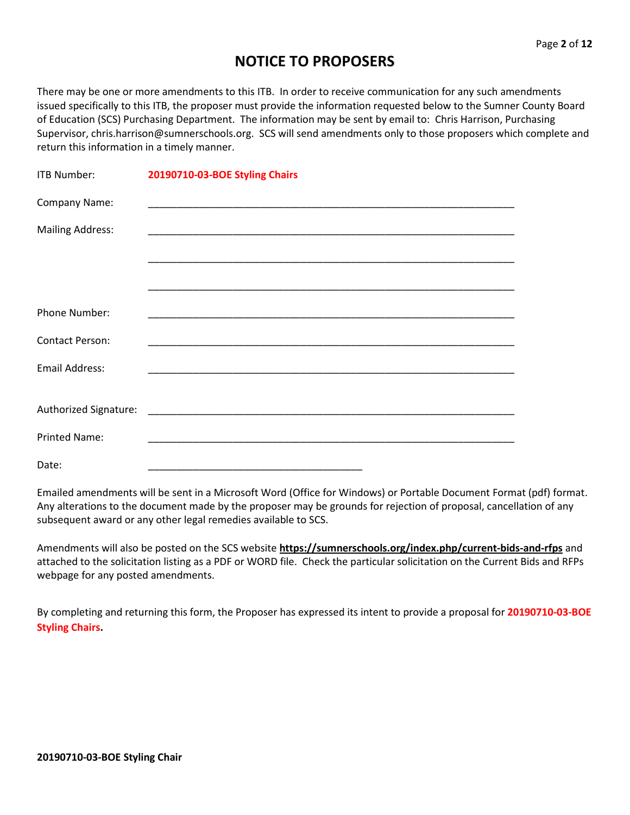## **NOTICE TO PROPOSERS**

There may be one or more amendments to this ITB. In order to receive communication for any such amendments issued specifically to this ITB, the proposer must provide the information requested below to the Sumner County Board of Education (SCS) Purchasing Department. The information may be sent by email to: Chris Harrison, Purchasing Supervisor, chris.harrison@sumnerschools.org. SCS will send amendments only to those proposers which complete and return this information in a timely manner.

| <b>ITB Number:</b>      | 20190710-03-BOE Styling Chairs                                                     |
|-------------------------|------------------------------------------------------------------------------------|
| Company Name:           |                                                                                    |
| <b>Mailing Address:</b> |                                                                                    |
|                         |                                                                                    |
|                         |                                                                                    |
| Phone Number:           |                                                                                    |
| <b>Contact Person:</b>  |                                                                                    |
| <b>Email Address:</b>   |                                                                                    |
| Authorized Signature:   |                                                                                    |
| <b>Printed Name:</b>    | <u> 1980 - Jan James James Barbara, martin da kasar Amerikaan kasar Indonesia.</u> |
| Date:                   |                                                                                    |

Emailed amendments will be sent in a Microsoft Word (Office for Windows) or Portable Document Format (pdf) format. Any alterations to the document made by the proposer may be grounds for rejection of proposal, cancellation of any subsequent award or any other legal remedies available to SCS.

Amendments will also be posted on the SCS website **https://sumnerschools.org/index.php/current-bids-and-rfps** and attached to the solicitation listing as a PDF or WORD file. Check the particular solicitation on the Current Bids and RFPs webpage for any posted amendments.

By completing and returning this form, the Proposer has expressed its intent to provide a proposal for **20190710-03-BOE Styling Chairs.**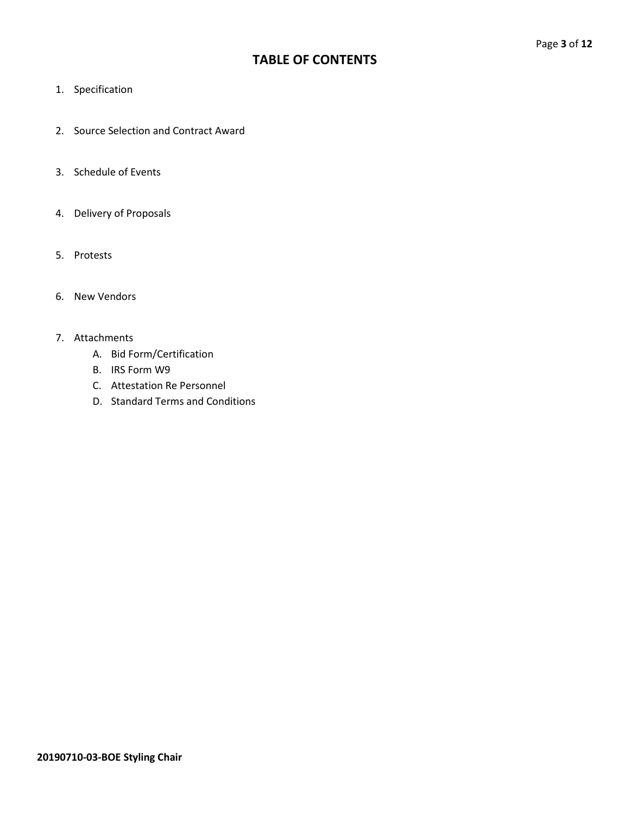## **TABLE OF CONTENTS**

- 1. Specification
- 2. Source Selection and Contract Award
- 3. Schedule of Events
- 4. Delivery of Proposals
- 5. Protests
- 6. New Vendors

#### 7. Attachments

- A. Bid Form/Certification
- B. IRS Form W9
- C. Attestation Re Personnel
- D. Standard Terms and Conditions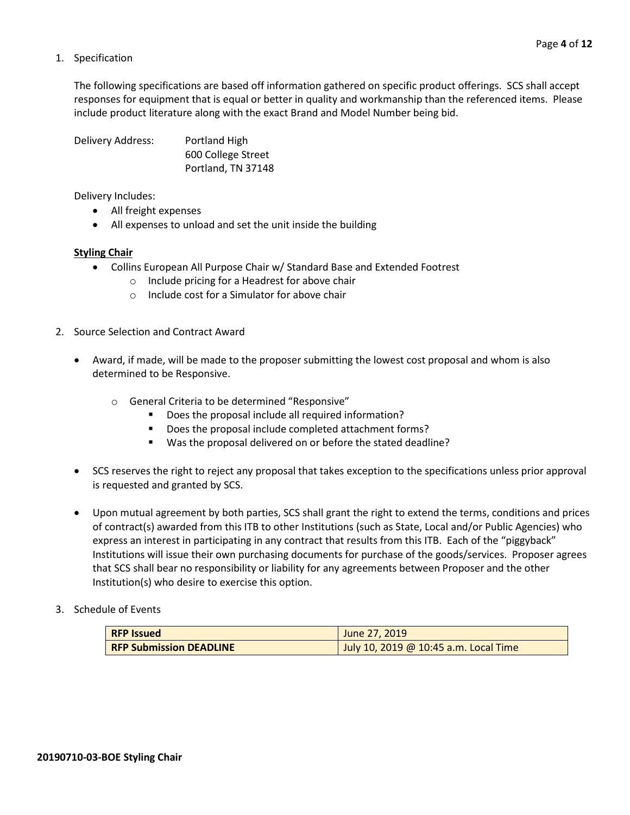#### 1. Specification

The following specifications are based off information gathered on specific product offerings. SCS shall accept responses for equipment that is equal or better in quality and workmanship than the referenced items. Please include product literature along with the exact Brand and Model Number being bid.

Delivery Address: Portland High 600 College Street Portland, TN 37148

Delivery Includes:

- All freight expenses
- All expenses to unload and set the unit inside the building

#### **Styling Chair**

- Collins European All Purpose Chair w/ Standard Base and Extended Footrest
	- o Include pricing for a Headrest for above chair
	- o Include cost for a Simulator for above chair
- 2. Source Selection and Contract Award
	- Award, if made, will be made to the proposer submitting the lowest cost proposal and whom is also determined to be Responsive.
		- o General Criteria to be determined "Responsive"
			- Does the proposal include all required information?
			- Does the proposal include completed attachment forms?
			- Was the proposal delivered on or before the stated deadline?
	- SCS reserves the right to reject any proposal that takes exception to the specifications unless prior approval is requested and granted by SCS.
	- Upon mutual agreement by both parties, SCS shall grant the right to extend the terms, conditions and prices of contract(s) awarded from this ITB to other Institutions (such as State, Local and/or Public Agencies) who express an interest in participating in any contract that results from this ITB. Each of the "piggyback" Institutions will issue their own purchasing documents for purchase of the goods/services. Proposer agrees that SCS shall bear no responsibility or liability for any agreements between Proposer and the other Institution(s) who desire to exercise this option.
- 3. Schedule of Events

| <b>RFP Issued</b>              | June 27, 2019                         |
|--------------------------------|---------------------------------------|
| <b>RFP Submission DEADLINE</b> | July 10, 2019 @ 10:45 a.m. Local Time |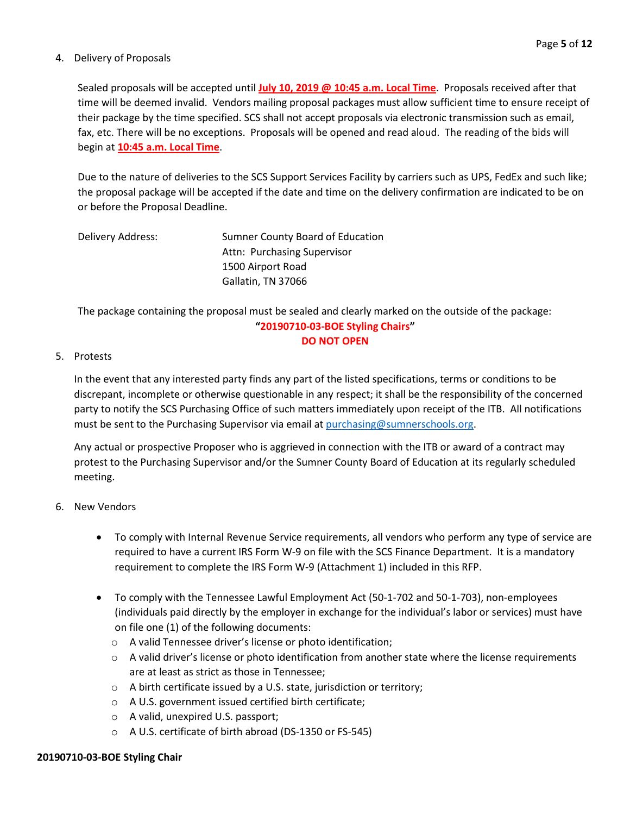#### 4. Delivery of Proposals

Sealed proposals will be accepted until **July 10, 2019 @ 10:45 a.m. Local Time**. Proposals received after that time will be deemed invalid. Vendors mailing proposal packages must allow sufficient time to ensure receipt of their package by the time specified. SCS shall not accept proposals via electronic transmission such as email, fax, etc. There will be no exceptions. Proposals will be opened and read aloud. The reading of the bids will begin at **10:45 a.m. Local Time**.

Due to the nature of deliveries to the SCS Support Services Facility by carriers such as UPS, FedEx and such like; the proposal package will be accepted if the date and time on the delivery confirmation are indicated to be on or before the Proposal Deadline.

| Delivery Address: | Sumner County Board of Education |
|-------------------|----------------------------------|
|                   | Attn: Purchasing Supervisor      |
|                   | 1500 Airport Road                |
|                   | Gallatin, TN 37066               |

The package containing the proposal must be sealed and clearly marked on the outside of the package: **"20190710-03-BOE Styling Chairs" DO NOT OPEN**

#### 5. Protests

In the event that any interested party finds any part of the listed specifications, terms or conditions to be discrepant, incomplete or otherwise questionable in any respect; it shall be the responsibility of the concerned party to notify the SCS Purchasing Office of such matters immediately upon receipt of the ITB. All notifications must be sent to the Purchasing Supervisor via email at [purchasing@sumnerschools.org.](mailto:purchasing@sumnerschools.org)

Any actual or prospective Proposer who is aggrieved in connection with the ITB or award of a contract may protest to the Purchasing Supervisor and/or the Sumner County Board of Education at its regularly scheduled meeting.

#### 6. New Vendors

- To comply with Internal Revenue Service requirements, all vendors who perform any type of service are required to have a current IRS Form W-9 on file with the SCS Finance Department. It is a mandatory requirement to complete the IRS Form W-9 (Attachment 1) included in this RFP.
- To comply with the Tennessee Lawful Employment Act (50-1-702 and 50-1-703), non-employees (individuals paid directly by the employer in exchange for the individual's labor or services) must have on file one (1) of the following documents:
	- o A valid Tennessee driver's license or photo identification;
	- $\circ$  A valid driver's license or photo identification from another state where the license requirements are at least as strict as those in Tennessee;
	- o A birth certificate issued by a U.S. state, jurisdiction or territory;
	- o A U.S. government issued certified birth certificate;
	- o A valid, unexpired U.S. passport;
	- o A U.S. certificate of birth abroad (DS-1350 or FS-545)

#### **20190710-03-BOE Styling Chair**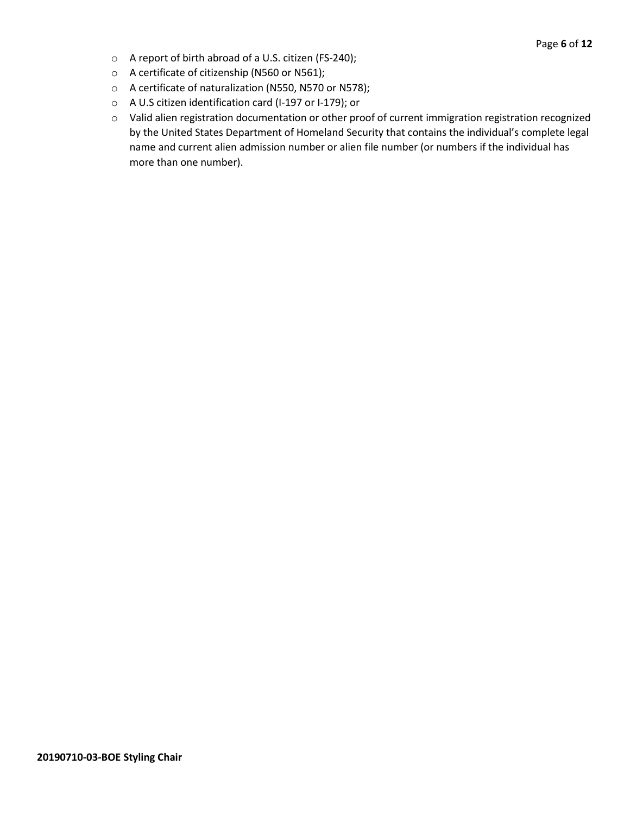- o A report of birth abroad of a U.S. citizen (FS-240);
- o A certificate of citizenship (N560 or N561);
- o A certificate of naturalization (N550, N570 or N578);
- o A U.S citizen identification card (I-197 or I-179); or
- o Valid alien registration documentation or other proof of current immigration registration recognized by the United States Department of Homeland Security that contains the individual's complete legal name and current alien admission number or alien file number (or numbers if the individual has more than one number).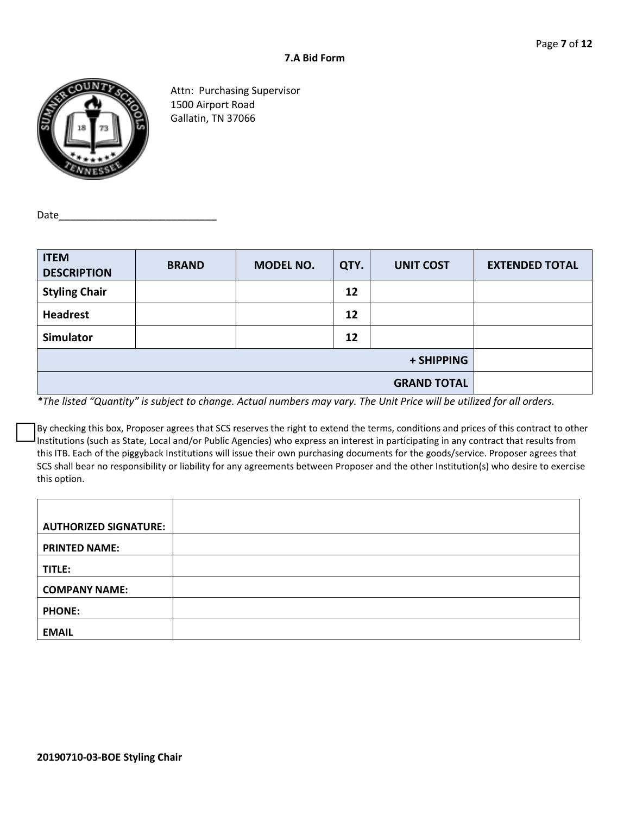

Attn: Purchasing Supervisor 1500 Airport Road Gallatin, TN 37066

Date\_

| <b>ITEM</b><br><b>DESCRIPTION</b> | <b>BRAND</b>       | MODEL NO. | QTY. | <b>UNIT COST</b> | <b>EXTENDED TOTAL</b> |
|-----------------------------------|--------------------|-----------|------|------------------|-----------------------|
| <b>Styling Chair</b>              |                    |           | 12   |                  |                       |
| <b>Headrest</b>                   |                    |           | 12   |                  |                       |
| <b>Simulator</b>                  |                    |           | 12   |                  |                       |
| + SHIPPING                        |                    |           |      |                  |                       |
|                                   | <b>GRAND TOTAL</b> |           |      |                  |                       |

*\*The listed "Quantity" is subject to change. Actual numbers may vary. The Unit Price will be utilized for all orders.*

By checking this box, Proposer agrees that SCS reserves the right to extend the terms, conditions and prices of this contract to other Institutions (such as State, Local and/or Public Agencies) who express an interest in participating in any contract that results from this ITB. Each of the piggyback Institutions will issue their own purchasing documents for the goods/service. Proposer agrees that SCS shall bear no responsibility or liability for any agreements between Proposer and the other Institution(s) who desire to exercise this option.

| <b>AUTHORIZED SIGNATURE:</b> |  |
|------------------------------|--|
| <b>PRINTED NAME:</b>         |  |
| TITLE:                       |  |
| <b>COMPANY NAME:</b>         |  |
| <b>PHONE:</b>                |  |
| <b>EMAIL</b>                 |  |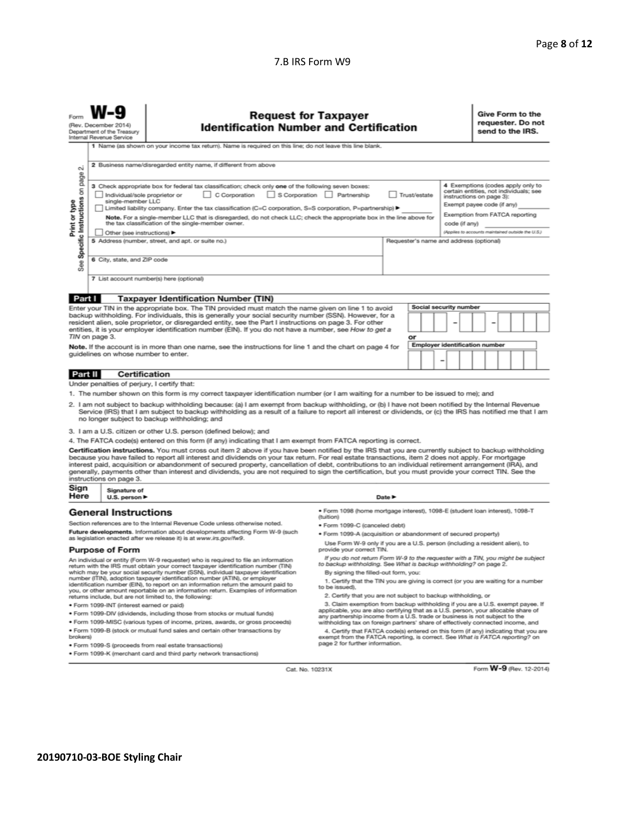#### 7.B IRS Form W9

| Form                                                                                                                                                                                                                                                                                                                                                                                                                                                                                                                                                                                                                                                     | <b>Request for Taxpayer</b><br><b>Identification Number and Certification</b><br>(Rev. December 2014)<br>Department of the Treasury<br>Internal Revenue Service |                                                                                                                                                                            |                                                                                                                                                                                                                                                                |                                                                                                                                                                                              | Give Form to the<br>requester. Do not<br>send to the IRS. |                        |                                                                                                                                       |
|----------------------------------------------------------------------------------------------------------------------------------------------------------------------------------------------------------------------------------------------------------------------------------------------------------------------------------------------------------------------------------------------------------------------------------------------------------------------------------------------------------------------------------------------------------------------------------------------------------------------------------------------------------|-----------------------------------------------------------------------------------------------------------------------------------------------------------------|----------------------------------------------------------------------------------------------------------------------------------------------------------------------------|----------------------------------------------------------------------------------------------------------------------------------------------------------------------------------------------------------------------------------------------------------------|----------------------------------------------------------------------------------------------------------------------------------------------------------------------------------------------|-----------------------------------------------------------|------------------------|---------------------------------------------------------------------------------------------------------------------------------------|
|                                                                                                                                                                                                                                                                                                                                                                                                                                                                                                                                                                                                                                                          |                                                                                                                                                                 |                                                                                                                                                                            | 1 Name (as shown on your income tax return). Name is required on this line; do not leave this line blank.                                                                                                                                                      |                                                                                                                                                                                              |                                                           |                        |                                                                                                                                       |
| σû                                                                                                                                                                                                                                                                                                                                                                                                                                                                                                                                                                                                                                                       | 2 Business name/disregarded entity name, if different from above                                                                                                |                                                                                                                                                                            |                                                                                                                                                                                                                                                                |                                                                                                                                                                                              |                                                           |                        |                                                                                                                                       |
| page<br>3 Check appropriate box for federal tax classification; check only one of the following seven boxes:<br>Specific Instructions on<br>Individual/sole proprietor or<br>C Corporation<br>single-member LLC                                                                                                                                                                                                                                                                                                                                                                                                                                          |                                                                                                                                                                 |                                                                                                                                                                            | Limited liability company. Enter the tax classification (C=C corporation, S=S corporation, P=partnership) ▶                                                                                                                                                    | S Corporation Partnership<br>Trust/estate                                                                                                                                                    |                                                           |                        | 4 Exemptions (codes apply only to<br>certain entities, not individuals; see<br>instructions on page 3):<br>Exempt payee code (if any) |
| Print or type                                                                                                                                                                                                                                                                                                                                                                                                                                                                                                                                                                                                                                            |                                                                                                                                                                 | Note. For a single-member LLC that is disregarded, do not check LLC; check the appropriate box in the line above for<br>the tax classification of the single-member owner. |                                                                                                                                                                                                                                                                |                                                                                                                                                                                              |                                                           |                        | Exemption from FATCA reporting<br>code (if any)                                                                                       |
|                                                                                                                                                                                                                                                                                                                                                                                                                                                                                                                                                                                                                                                          |                                                                                                                                                                 | Other (see instructions)                                                                                                                                                   |                                                                                                                                                                                                                                                                |                                                                                                                                                                                              |                                                           |                        | (Applies to accounts maintained outside the U.S.)                                                                                     |
|                                                                                                                                                                                                                                                                                                                                                                                                                                                                                                                                                                                                                                                          |                                                                                                                                                                 |                                                                                                                                                                            | 5 Address (number, street, and apt. or suite no.)                                                                                                                                                                                                              |                                                                                                                                                                                              | Requester's name and address (optional)                   |                        |                                                                                                                                       |
| See                                                                                                                                                                                                                                                                                                                                                                                                                                                                                                                                                                                                                                                      |                                                                                                                                                                 | 6 City, state, and ZIP code                                                                                                                                                |                                                                                                                                                                                                                                                                |                                                                                                                                                                                              |                                                           |                        |                                                                                                                                       |
|                                                                                                                                                                                                                                                                                                                                                                                                                                                                                                                                                                                                                                                          |                                                                                                                                                                 |                                                                                                                                                                            | 7 List account number(s) here (optional)                                                                                                                                                                                                                       |                                                                                                                                                                                              |                                                           |                        |                                                                                                                                       |
| Part I                                                                                                                                                                                                                                                                                                                                                                                                                                                                                                                                                                                                                                                   |                                                                                                                                                                 |                                                                                                                                                                            | <b>Taxpayer Identification Number (TIN)</b>                                                                                                                                                                                                                    |                                                                                                                                                                                              |                                                           |                        |                                                                                                                                       |
|                                                                                                                                                                                                                                                                                                                                                                                                                                                                                                                                                                                                                                                          |                                                                                                                                                                 |                                                                                                                                                                            | Enter your TIN in the appropriate box. The TIN provided must match the name given on line 1 to avoid                                                                                                                                                           |                                                                                                                                                                                              |                                                           | Social security number |                                                                                                                                       |
| backup withholding. For individuals, this is generally your social security number (SSN). However, for a<br>resident alien, sole proprietor, or disregarded entity, see the Part I instructions on page 3. For other<br>entities, it is your employer identification number (EIN). If you do not have a number, see How to get a<br>TIN on page 3.                                                                                                                                                                                                                                                                                                       |                                                                                                                                                                 |                                                                                                                                                                            |                                                                                                                                                                                                                                                                |                                                                                                                                                                                              |                                                           |                        |                                                                                                                                       |
|                                                                                                                                                                                                                                                                                                                                                                                                                                                                                                                                                                                                                                                          |                                                                                                                                                                 |                                                                                                                                                                            | Note. If the account is in more than one name, see the instructions for line 1 and the chart on page 4 for                                                                                                                                                     |                                                                                                                                                                                              | or                                                        |                        | <b>Employer identification number</b>                                                                                                 |
|                                                                                                                                                                                                                                                                                                                                                                                                                                                                                                                                                                                                                                                          |                                                                                                                                                                 |                                                                                                                                                                            | guidelines on whose number to enter.                                                                                                                                                                                                                           |                                                                                                                                                                                              |                                                           | ۰                      |                                                                                                                                       |
| Part II                                                                                                                                                                                                                                                                                                                                                                                                                                                                                                                                                                                                                                                  |                                                                                                                                                                 | <b>Certification</b>                                                                                                                                                       |                                                                                                                                                                                                                                                                |                                                                                                                                                                                              |                                                           |                        |                                                                                                                                       |
|                                                                                                                                                                                                                                                                                                                                                                                                                                                                                                                                                                                                                                                          |                                                                                                                                                                 |                                                                                                                                                                            | Under penalties of perjury, I certify that:                                                                                                                                                                                                                    |                                                                                                                                                                                              |                                                           |                        |                                                                                                                                       |
|                                                                                                                                                                                                                                                                                                                                                                                                                                                                                                                                                                                                                                                          |                                                                                                                                                                 |                                                                                                                                                                            | 1. The number shown on this form is my correct taxpayer identification number (or I am waiting for a number to be issued to me); and                                                                                                                           |                                                                                                                                                                                              |                                                           |                        |                                                                                                                                       |
| 2. I am not subject to backup withholding because: (a) I am exempt from backup withholding, or (b) I have not been notified by the Internal Revenue<br>Service (IRS) that I am subject to backup withholding as a result of a failure to report all interest or dividends, or (c) the IRS has notified me that I am<br>no longer subject to backup withholding; and                                                                                                                                                                                                                                                                                      |                                                                                                                                                                 |                                                                                                                                                                            |                                                                                                                                                                                                                                                                |                                                                                                                                                                                              |                                                           |                        |                                                                                                                                       |
|                                                                                                                                                                                                                                                                                                                                                                                                                                                                                                                                                                                                                                                          |                                                                                                                                                                 |                                                                                                                                                                            | 3. I am a U.S. citizen or other U.S. person (defined below); and                                                                                                                                                                                               |                                                                                                                                                                                              |                                                           |                        |                                                                                                                                       |
|                                                                                                                                                                                                                                                                                                                                                                                                                                                                                                                                                                                                                                                          |                                                                                                                                                                 |                                                                                                                                                                            | 4. The FATCA code(s) entered on this form (if any) indicating that I am exempt from FATCA reporting is correct.                                                                                                                                                |                                                                                                                                                                                              |                                                           |                        |                                                                                                                                       |
| Certification instructions. You must cross out item 2 above if you have been notified by the IRS that you are currently subject to backup withholding<br>because you have failed to report all interest and dividends on your tax return. For real estate transactions, item 2 does not apply. For mortgage<br>interest paid, acquisition or abandonment of secured property, cancellation of debt, contributions to an individual retirement arrangement (IRA), and<br>generally, payments other than interest and dividends, you are not required to sign the certification, but you must provide your correct TIN. See the<br>instructions on page 3. |                                                                                                                                                                 |                                                                                                                                                                            |                                                                                                                                                                                                                                                                |                                                                                                                                                                                              |                                                           |                        |                                                                                                                                       |
| Sign<br>Here                                                                                                                                                                                                                                                                                                                                                                                                                                                                                                                                                                                                                                             |                                                                                                                                                                 | Signature of<br>U.S. person $\blacktriangleright$                                                                                                                          |                                                                                                                                                                                                                                                                |                                                                                                                                                                                              | Date P                                                    |                        |                                                                                                                                       |
|                                                                                                                                                                                                                                                                                                                                                                                                                                                                                                                                                                                                                                                          |                                                                                                                                                                 | <b>General Instructions</b>                                                                                                                                                |                                                                                                                                                                                                                                                                | ● Form 1098 (home mortgage interest), 1098-E (student loan interest), 1098-T<br>(tuition)                                                                                                    |                                                           |                        |                                                                                                                                       |
| Section references are to the Internal Revenue Code unless otherwise noted.                                                                                                                                                                                                                                                                                                                                                                                                                                                                                                                                                                              |                                                                                                                                                                 | • Form 1099-C (canceled debt)                                                                                                                                              |                                                                                                                                                                                                                                                                |                                                                                                                                                                                              |                                                           |                        |                                                                                                                                       |
| Future developments. Information about developments affecting Form W-9 (such<br>as legislation enacted after we release it) is at www.irs.gov/fw9.                                                                                                                                                                                                                                                                                                                                                                                                                                                                                                       |                                                                                                                                                                 | . Form 1099-A (acquisition or abandonment of secured property)                                                                                                             |                                                                                                                                                                                                                                                                |                                                                                                                                                                                              |                                                           |                        |                                                                                                                                       |
|                                                                                                                                                                                                                                                                                                                                                                                                                                                                                                                                                                                                                                                          |                                                                                                                                                                 | <b>Purpose of Form</b>                                                                                                                                                     |                                                                                                                                                                                                                                                                | Use Form W-9 only if you are a U.S. person (including a resident alien), to<br>provide your correct TIN.                                                                                     |                                                           |                        |                                                                                                                                       |
|                                                                                                                                                                                                                                                                                                                                                                                                                                                                                                                                                                                                                                                          |                                                                                                                                                                 |                                                                                                                                                                            | An individual or entity (Form W-9 requester) who is required to file an information<br>return with the IRS must obtain your correct taxpayer identification number (TIN)<br>which may be your social security number (SSN), individual taxpayer identification | If you do not return Form W-9 to the requester with a TIN, you might be subject<br>to backup withholding. See What is backup withholding? on page 2.<br>By signing the filled-out form, you: |                                                           |                        |                                                                                                                                       |
|                                                                                                                                                                                                                                                                                                                                                                                                                                                                                                                                                                                                                                                          |                                                                                                                                                                 |                                                                                                                                                                            | number (ITIN), adoption taxpayer identification number (ATIN), or employer<br>identification number (EIN), to report on an information return the amount paid to                                                                                               | to be issued).                                                                                                                                                                               |                                                           |                        | 1. Certify that the TIN you are giving is correct (or you are waiting for a number                                                    |

you, or other amount reportable on an information return. Examples of information returns include, but are not limited to, the following:

· Form 1099-INT (interest earned or paid)

- . Form 1099-DIV (dividends, including those from stocks or mutual funds)
- · Form 1099-MISC (various types of income, prizes, awards, or gross proceeds) . Form 1099-B (stock or mutual fund sales and certain other transactions by
- brokers) · Form 1099-S (proceeds from real estate transactions)
- · Form 1099-K (merchant card and third party network transactions)
- 
- 2. Certify that you are not subject to backup withholding, or

2. Certify that you are not subject to backup withholding, or<br>3. Claim exemption from backup withholding if you are a U.S. exempt payee. If<br>applicable, you are also certifying that as a U.S. person, your allocable share of

4. Certify that FATCA code(s) entered on this form (if any) indicating that you are<br>exempt from the FATCA reporting, is correct. See What is FATCA reporting?<br>page 2 for further information.

Cat. No. 10231X

Form W-9 (Rev. 12-2014)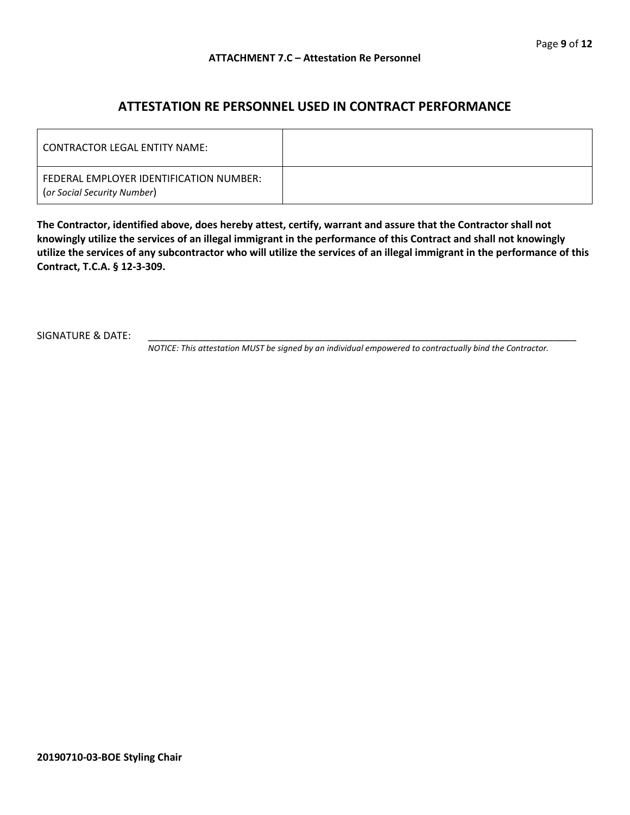### **ATTESTATION RE PERSONNEL USED IN CONTRACT PERFORMANCE**

| CONTRACTOR LEGAL ENTITY NAME:                                          |  |
|------------------------------------------------------------------------|--|
| FEDERAL EMPLOYER IDENTIFICATION NUMBER:<br>(or Social Security Number) |  |

**The Contractor, identified above, does hereby attest, certify, warrant and assure that the Contractor shall not knowingly utilize the services of an illegal immigrant in the performance of this Contract and shall not knowingly utilize the services of any subcontractor who will utilize the services of an illegal immigrant in the performance of this Contract, T.C.A. § 12-3-309.**

SIGNATURE & DATE:

*NOTICE: This attestation MUST be signed by an individual empowered to contractually bind the Contractor.*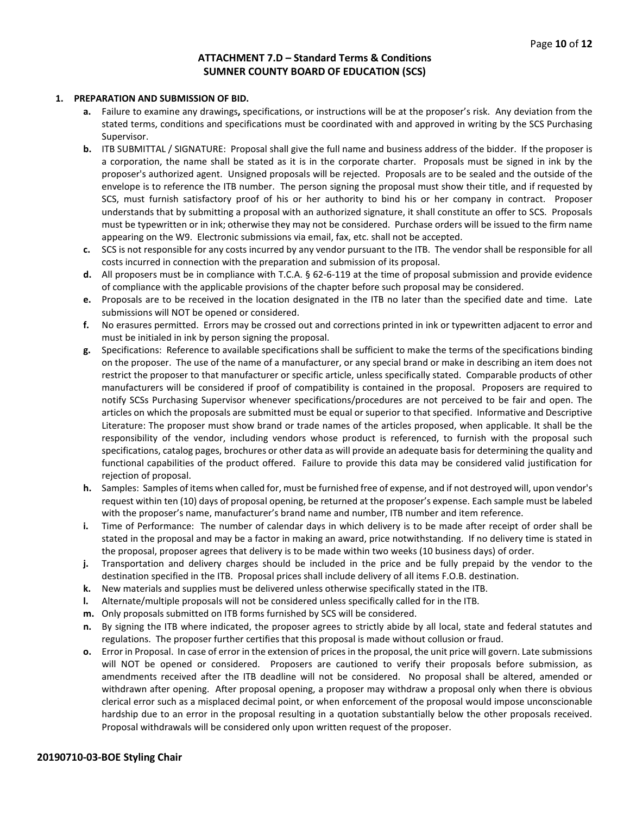#### **ATTACHMENT 7.D – Standard Terms & Conditions SUMNER COUNTY BOARD OF EDUCATION (SCS)**

#### **1. PREPARATION AND SUBMISSION OF BID.**

- **a.** Failure to examine any drawings**,** specifications, or instructions will be at the proposer's risk. Any deviation from the stated terms, conditions and specifications must be coordinated with and approved in writing by the SCS Purchasing Supervisor.
- **b.** ITB SUBMITTAL / SIGNATURE: Proposal shall give the full name and business address of the bidder. If the proposer is a corporation, the name shall be stated as it is in the corporate charter. Proposals must be signed in ink by the proposer's authorized agent. Unsigned proposals will be rejected. Proposals are to be sealed and the outside of the envelope is to reference the ITB number. The person signing the proposal must show their title, and if requested by SCS, must furnish satisfactory proof of his or her authority to bind his or her company in contract. Proposer understands that by submitting a proposal with an authorized signature, it shall constitute an offer to SCS. Proposals must be typewritten or in ink; otherwise they may not be considered. Purchase orders will be issued to the firm name appearing on the W9. Electronic submissions via email, fax, etc. shall not be accepted.
- **c.** SCS is not responsible for any costs incurred by any vendor pursuant to the ITB. The vendor shall be responsible for all costs incurred in connection with the preparation and submission of its proposal.
- **d.** All proposers must be in compliance with T.C.A. § 62-6-119 at the time of proposal submission and provide evidence of compliance with the applicable provisions of the chapter before such proposal may be considered.
- **e.** Proposals are to be received in the location designated in the ITB no later than the specified date and time. Late submissions will NOT be opened or considered.
- **f.** No erasures permitted. Errors may be crossed out and corrections printed in ink or typewritten adjacent to error and must be initialed in ink by person signing the proposal.
- **g.** Specifications: Reference to available specifications shall be sufficient to make the terms of the specifications binding on the proposer. The use of the name of a manufacturer, or any special brand or make in describing an item does not restrict the proposer to that manufacturer or specific article, unless specifically stated. Comparable products of other manufacturers will be considered if proof of compatibility is contained in the proposal. Proposers are required to notify SCSs Purchasing Supervisor whenever specifications/procedures are not perceived to be fair and open. The articles on which the proposals are submitted must be equal or superior to that specified. Informative and Descriptive Literature: The proposer must show brand or trade names of the articles proposed, when applicable. It shall be the responsibility of the vendor, including vendors whose product is referenced, to furnish with the proposal such specifications, catalog pages, brochures or other data as will provide an adequate basis for determining the quality and functional capabilities of the product offered. Failure to provide this data may be considered valid justification for rejection of proposal.
- **h.** Samples: Samples of items when called for, must be furnished free of expense, and if not destroyed will, upon vendor's request within ten (10) days of proposal opening, be returned at the proposer's expense. Each sample must be labeled with the proposer's name, manufacturer's brand name and number, ITB number and item reference.
- **i.** Time of Performance: The number of calendar days in which delivery is to be made after receipt of order shall be stated in the proposal and may be a factor in making an award, price notwithstanding. If no delivery time is stated in the proposal, proposer agrees that delivery is to be made within two weeks (10 business days) of order.
- **j.** Transportation and delivery charges should be included in the price and be fully prepaid by the vendor to the destination specified in the ITB. Proposal prices shall include delivery of all items F.O.B. destination.
- **k.** New materials and supplies must be delivered unless otherwise specifically stated in the ITB.
- **l.** Alternate/multiple proposals will not be considered unless specifically called for in the ITB.
- **m.** Only proposals submitted on ITB forms furnished by SCS will be considered.
- **n.** By signing the ITB where indicated, the proposer agrees to strictly abide by all local, state and federal statutes and regulations. The proposer further certifies that this proposal is made without collusion or fraud.
- **o.** Error in Proposal. In case of error in the extension of prices in the proposal, the unit price will govern. Late submissions will NOT be opened or considered. Proposers are cautioned to verify their proposals before submission, as amendments received after the ITB deadline will not be considered. No proposal shall be altered, amended or withdrawn after opening. After proposal opening, a proposer may withdraw a proposal only when there is obvious clerical error such as a misplaced decimal point, or when enforcement of the proposal would impose unconscionable hardship due to an error in the proposal resulting in a quotation substantially below the other proposals received. Proposal withdrawals will be considered only upon written request of the proposer.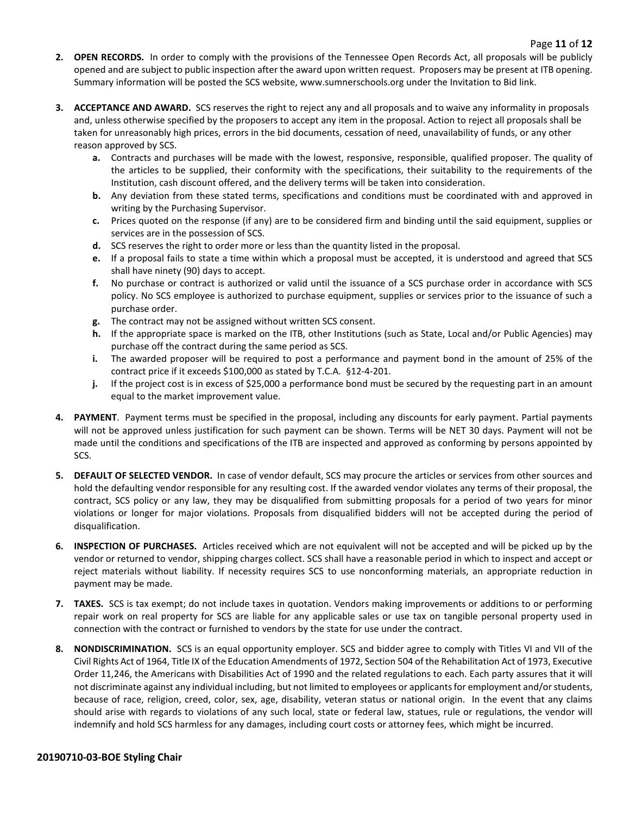- **2. OPEN RECORDS.** In order to comply with the provisions of the Tennessee Open Records Act, all proposals will be publicly opened and are subject to public inspection after the award upon written request. Proposers may be present at ITB opening. Summary information will be posted the SCS website, www.sumnerschools.org under the Invitation to Bid link.
- **3. ACCEPTANCE AND AWARD.** SCS reserves the right to reject any and all proposals and to waive any informality in proposals and, unless otherwise specified by the proposers to accept any item in the proposal. Action to reject all proposals shall be taken for unreasonably high prices, errors in the bid documents, cessation of need, unavailability of funds, or any other reason approved by SCS.
	- **a.** Contracts and purchases will be made with the lowest, responsive, responsible, qualified proposer. The quality of the articles to be supplied, their conformity with the specifications, their suitability to the requirements of the Institution, cash discount offered, and the delivery terms will be taken into consideration.
	- **b.** Any deviation from these stated terms, specifications and conditions must be coordinated with and approved in writing by the Purchasing Supervisor.
	- **c.** Prices quoted on the response (if any) are to be considered firm and binding until the said equipment, supplies or services are in the possession of SCS.
	- **d.** SCS reserves the right to order more or less than the quantity listed in the proposal.
	- **e.** If a proposal fails to state a time within which a proposal must be accepted, it is understood and agreed that SCS shall have ninety (90) days to accept.
	- **f.** No purchase or contract is authorized or valid until the issuance of a SCS purchase order in accordance with SCS policy. No SCS employee is authorized to purchase equipment, supplies or services prior to the issuance of such a purchase order.
	- **g.** The contract may not be assigned without written SCS consent.
	- **h.** If the appropriate space is marked on the ITB, other Institutions (such as State, Local and/or Public Agencies) may purchase off the contract during the same period as SCS.
	- **i.** The awarded proposer will be required to post a performance and payment bond in the amount of 25% of the contract price if it exceeds \$100,000 as stated by T.C.A. §12-4-201.
	- **j.** If the project cost is in excess of \$25,000 a performance bond must be secured by the requesting part in an amount equal to the market improvement value.
- **4. PAYMENT**. Payment terms must be specified in the proposal, including any discounts for early payment. Partial payments will not be approved unless justification for such payment can be shown. Terms will be NET 30 days. Payment will not be made until the conditions and specifications of the ITB are inspected and approved as conforming by persons appointed by SCS.
- **5. DEFAULT OF SELECTED VENDOR.** In case of vendor default, SCS may procure the articles or services from other sources and hold the defaulting vendor responsible for any resulting cost. If the awarded vendor violates any terms of their proposal, the contract, SCS policy or any law, they may be disqualified from submitting proposals for a period of two years for minor violations or longer for major violations. Proposals from disqualified bidders will not be accepted during the period of disqualification.
- **6. INSPECTION OF PURCHASES.** Articles received which are not equivalent will not be accepted and will be picked up by the vendor or returned to vendor, shipping charges collect. SCS shall have a reasonable period in which to inspect and accept or reject materials without liability. If necessity requires SCS to use nonconforming materials, an appropriate reduction in payment may be made.
- **7. TAXES.** SCS is tax exempt; do not include taxes in quotation. Vendors making improvements or additions to or performing repair work on real property for SCS are liable for any applicable sales or use tax on tangible personal property used in connection with the contract or furnished to vendors by the state for use under the contract.
- **8. NONDISCRIMINATION.** SCS is an equal opportunity employer. SCS and bidder agree to comply with Titles VI and VII of the Civil Rights Act of 1964, Title IX of the Education Amendments of 1972, Section 504 of the Rehabilitation Act of 1973, Executive Order 11,246, the Americans with Disabilities Act of 1990 and the related regulations to each. Each party assures that it will not discriminate against any individual including, but not limited to employees or applicants for employment and/or students, because of race, religion, creed, color, sex, age, disability, veteran status or national origin. In the event that any claims should arise with regards to violations of any such local, state or federal law, statues, rule or regulations, the vendor will indemnify and hold SCS harmless for any damages, including court costs or attorney fees, which might be incurred.